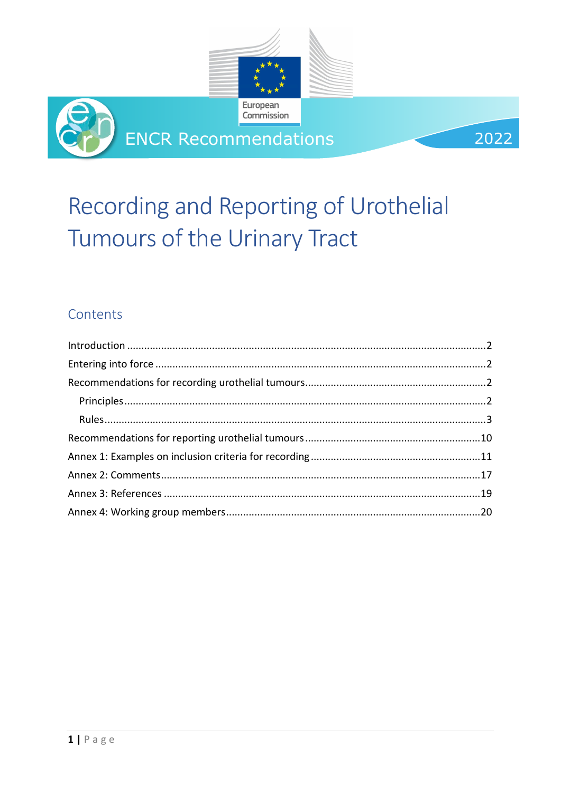



2022

# Recording and Reporting of Urothelial Tumours of the Urinary Tract

## Contents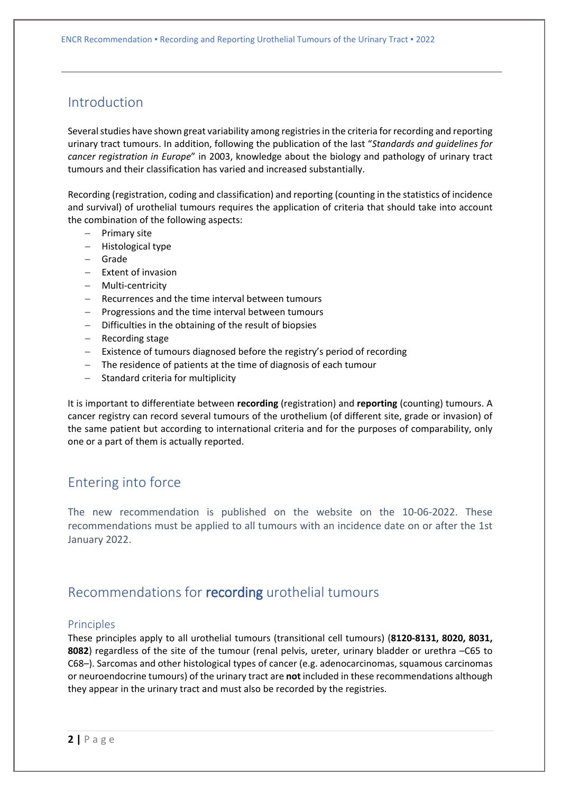### <span id="page-1-0"></span>Introduction

Several studies have shown great variability among registries in the criteria for recording and reporting urinary tract tumours. In addition, following the publication of the last "*Standards and guidelines for cancer registration in Europe*" in 2003, knowledge about the biology and pathology of urinary tract tumours and their classification has varied and increased substantially.

Recording (registration, coding and classification) and reporting (counting in the statistics of incidence and survival) of urothelial tumours requires the application of criteria that should take into account the combination of the following aspects:

- − Primary site
- − Histological type
- − Grade
- − Extent of invasion
- − Multi-centricity
- − Recurrences and the time interval between tumours
- − Progressions and the time interval between tumours
- − Difficulties in the obtaining of the result of biopsies
- − Recording stage
- − Existence of tumours diagnosed before the registry's period of recording
- − The residence of patients at the time of diagnosis of each tumour
- − Standard criteria for multiplicity

It is important to differentiate between **recording** (registration) and **reporting** (counting) tumours. A cancer registry can record several tumours of the urothelium (of different site, grade or invasion) of the same patient but according to international criteria and for the purposes of comparability, only one or a part of them is actually reported.

### <span id="page-1-1"></span>Entering into force

The new recommendation is published on the website on the 10-06-2022. These recommendations must be applied to all tumours with an incidence date on or after the 1st January 2022.

### <span id="page-1-2"></span>Recommendations for recording urothelial tumours

### <span id="page-1-3"></span>Principles

These principles apply to all urothelial tumours (transitional cell tumours) (**8120-8131, 8020, 8031, 8082**) regardless of the site of the tumour (renal pelvis, ureter, urinary bladder or urethra –C65 to C68–). Sarcomas and other histological types of cancer (e.g. adenocarcinomas, squamous carcinomas or neuroendocrine tumours) of the urinary tract are **not** included in these recommendations although they appear in the urinary tract and must also be recorded by the registries.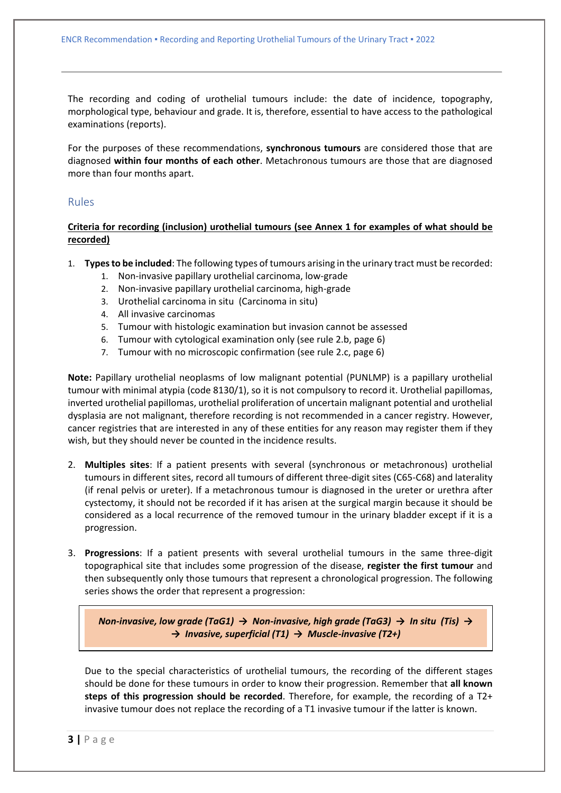The recording and coding of urothelial tumours include: the date of incidence, topography, morphological type, behaviour and grade. It is, therefore, essential to have access to the pathological examinations (reports).

For the purposes of these recommendations, **synchronous tumours** are considered those that are diagnosed **within four months of each other**. Metachronous tumours are those that are diagnosed more than four months apart.

### <span id="page-2-0"></span>Rules

### **Criteria for recording (inclusion) urothelial tumours (see Annex 1 for examples of what should be recorded)**

- 1. **Types to be included**: The following types of tumours arising in the urinary tract must be recorded:
	- 1. Non-invasive papillary urothelial carcinoma, low-grade
	- 2. Non-invasive papillary urothelial carcinoma, high-grade
	- 3. Urothelial carcinoma in situ (Carcinoma in situ)
	- 4. All invasive carcinomas
	- 5. Tumour with histologic examination but invasion cannot be assessed
	- 6. Tumour with cytological examination only (see rule 2.b, page 6)
	- 7. Tumour with no microscopic confirmation (see rule 2.c, page 6)

**Note:** Papillary urothelial neoplasms of low malignant potential (PUNLMP) is a papillary urothelial tumour with minimal atypia (code 8130/1), so it is not compulsory to record it. Urothelial papillomas, inverted urothelial papillomas, urothelial proliferation of uncertain malignant potential and urothelial dysplasia are not malignant, therefore recording is not recommended in a cancer registry. However, cancer registries that are interested in any of these entities for any reason may register them if they wish, but they should never be counted in the incidence results.

- 2. **Multiples sites**: If a patient presents with several (synchronous or metachronous) urothelial tumours in different sites, record all tumours of different three-digit sites (C65-C68) and laterality (if renal pelvis or ureter). If a metachronous tumour is diagnosed in the ureter or urethra after cystectomy, it should not be recorded if it has arisen at the surgical margin because it should be considered as a local recurrence of the removed tumour in the urinary bladder except if it is a progression.
- 3. **Progressions**: If a patient presents with several urothelial tumours in the same three-digit topographical site that includes some progression of the disease, **register the first tumour** and then subsequently only those tumours that represent a chronological progression. The following series shows the order that represent a progression:

*Non-invasive, low grade (TaG1) → Non-invasive, high grade (TaG3) → In situ (Tis) → → Invasive, superficial (T1) → Muscle-invasive (T2+)*

Due to the special characteristics of urothelial tumours, the recording of the different stages should be done for these tumours in order to know their progression. Remember that **all known steps of this progression should be recorded**. Therefore, for example, the recording of a T2+ invasive tumour does not replace the recording of a T1 invasive tumour if the latter is known.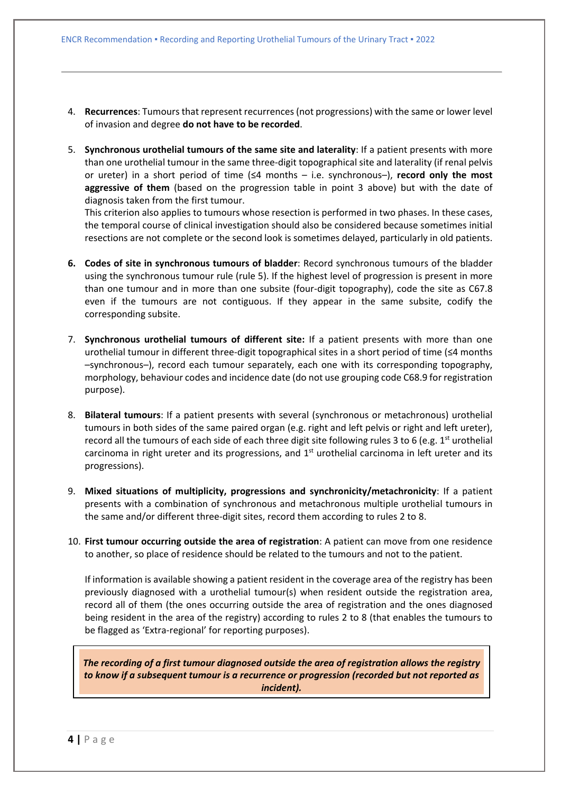- 4. **Recurrences**: Tumours that represent recurrences (not progressions) with the same or lower level of invasion and degree **do not have to be recorded**.
- 5. **Synchronous urothelial tumours of the same site and laterality**: If a patient presents with more than one urothelial tumour in the same three-digit topographical site and laterality (if renal pelvis or ureter) in a short period of time (≤4 months – i.e. synchronous–), **record only the most aggressive of them** (based on the progression table in point 3 above) but with the date of diagnosis taken from the first tumour.

This criterion also applies to tumours whose resection is performed in two phases. In these cases, the temporal course of clinical investigation should also be considered because sometimes initial resections are not complete or the second look is sometimes delayed, particularly in old patients.

- **6. Codes of site in synchronous tumours of bladder**: Record synchronous tumours of the bladder using the synchronous tumour rule (rule 5). If the highest level of progression is present in more than one tumour and in more than one subsite (four-digit topography), code the site as C67.8 even if the tumours are not contiguous. If they appear in the same subsite, codify the corresponding subsite.
- 7. **Synchronous urothelial tumours of different site:** If a patient presents with more than one urothelial tumour in different three-digit topographical sites in a short period of time (≤4 months –synchronous–), record each tumour separately, each one with its corresponding topography, morphology, behaviour codes and incidence date (do not use grouping code C68.9 for registration purpose).
- 8. **Bilateral tumours**: If a patient presents with several (synchronous or metachronous) urothelial tumours in both sides of the same paired organ (e.g. right and left pelvis or right and left ureter), record all the tumours of each side of each three digit site following rules 3 to 6 (e.g.  $1^{st}$  urothelial carcinoma in right ureter and its progressions, and 1<sup>st</sup> urothelial carcinoma in left ureter and its progressions).
- 9. **Mixed situations of multiplicity, progressions and synchronicity/metachronicity**: If a patient presents with a combination of synchronous and metachronous multiple urothelial tumours in the same and/or different three-digit sites, record them according to rules 2 to 8.
- 10. **First tumour occurring outside the area of registration**: A patient can move from one residence to another, so place of residence should be related to the tumours and not to the patient.

If information is available showing a patient resident in the coverage area of the registry has been previously diagnosed with a urothelial tumour(s) when resident outside the registration area, record all of them (the ones occurring outside the area of registration and the ones diagnosed being resident in the area of the registry) according to rules 2 to 8 (that enables the tumours to be flagged as 'Extra-regional' for reporting purposes).

*The recording of a first tumour diagnosed outside the area of registration allows the registry to know if a subsequent tumour is a recurrence or progression (recorded but not reported as incident).*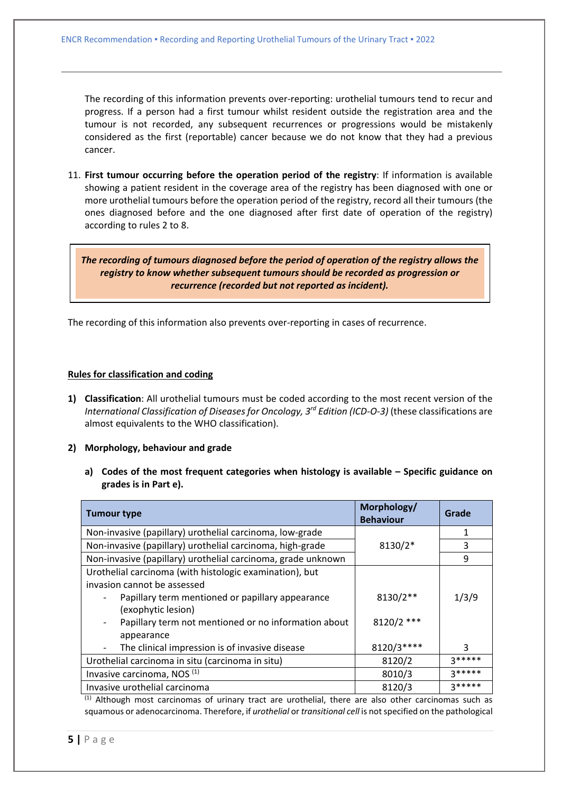The recording of this information prevents over-reporting: urothelial tumours tend to recur and progress. If a person had a first tumour whilst resident outside the registration area and the tumour is not recorded, any subsequent recurrences or progressions would be mistakenly considered as the first (reportable) cancer because we do not know that they had a previous cancer.

11. **First tumour occurring before the operation period of the registry**: If information is available showing a patient resident in the coverage area of the registry has been diagnosed with one or more urothelial tumours before the operation period of the registry, record all their tumours (the ones diagnosed before and the one diagnosed after first date of operation of the registry) according to rules 2 to 8.

*The recording of tumours diagnosed before the period of operation of the registry allows the registry to know whether subsequent tumours should be recorded as progression or recurrence (recorded but not reported as incident).*

The recording of this information also prevents over-reporting in cases of recurrence.

### **Rules for classification and coding**

**1) Classification**: All urothelial tumours must be coded according to the most recent version of the *International Classification of Diseases for Oncology, 3rd Edition (ICD-O-3)* (these classifications are almost equivalents to the WHO classification).

### **2) Morphology, behaviour and grade**

**a) Codes of the most frequent categories when histology is available – Specific guidance on grades is in Part e).**

| <b>Tumour type</b>                                                 | Morphology/<br><b>Behaviour</b> | Grade    |  |
|--------------------------------------------------------------------|---------------------------------|----------|--|
| Non-invasive (papillary) urothelial carcinoma, low-grade           |                                 | 1        |  |
| Non-invasive (papillary) urothelial carcinoma, high-grade          | 8130/2*                         | 3        |  |
| Non-invasive (papillary) urothelial carcinoma, grade unknown       |                                 | 9        |  |
| Urothelial carcinoma (with histologic examination), but            |                                 |          |  |
| invasion cannot be assessed                                        |                                 |          |  |
| Papillary term mentioned or papillary appearance                   | 8130/2**                        | 1/3/9    |  |
| (exophytic lesion)                                                 |                                 |          |  |
| 8120/2 ***<br>Papillary term not mentioned or no information about |                                 |          |  |
| appearance                                                         |                                 |          |  |
| The clinical impression is of invasive disease                     | 8120/3****                      | 3        |  |
| Urothelial carcinoma in situ (carcinoma in situ)                   | 8120/2                          | $3*****$ |  |
| Invasive carcinoma, NOS <sup>(1)</sup>                             | 8010/3                          | $3*****$ |  |
| Invasive urothelial carcinoma                                      | 8120/3                          | $3*****$ |  |

 $<sup>(1)</sup>$  Although most carcinomas of urinary tract are urothelial, there are also other carcinomas such as</sup> squamous or adenocarcinoma. Therefore, if *urothelial* or *transitional cell* is not specified on the pathological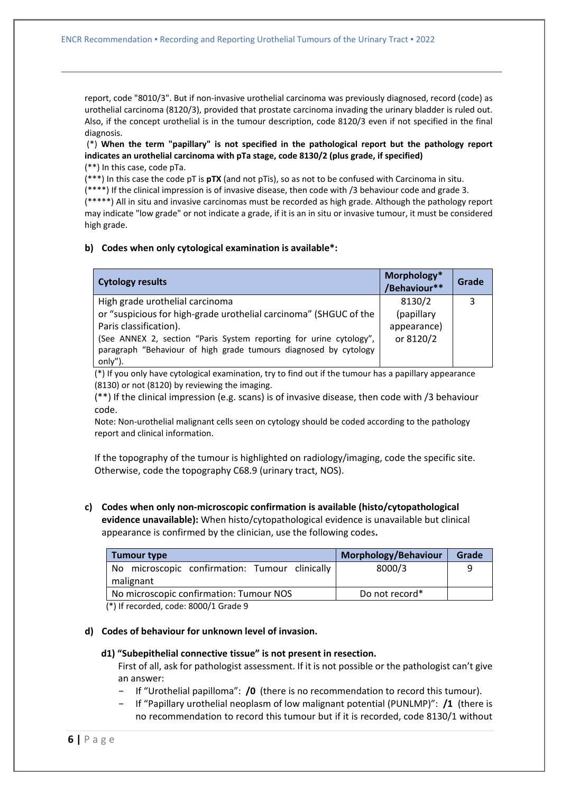report, code "8010/3". But if non-invasive urothelial carcinoma was previously diagnosed, record (code) as urothelial carcinoma (8120/3), provided that prostate carcinoma invading the urinary bladder is ruled out. Also, if the concept urothelial is in the tumour description, code 8120/3 even if not specified in the final diagnosis.

(\*) **When the term "papillary" is not specified in the pathological report but the pathology report indicates an urothelial carcinoma with pTa stage, code 8130/2 (plus grade, if specified)** (\*\*) In this case, code pTa.

(\*\*\*) In this case the code pT is **pTX** (and not pTis), so as not to be confused with Carcinoma in situ.

(\*\*\*\*) If the clinical impression is of invasive disease, then code with /3 behaviour code and grade 3. (\*\*\*\*\*) All in situ and invasive carcinomas must be recorded as high grade. Although the pathology report

may indicate "low grade" or not indicate a grade, if it is an in situ or invasive tumour, it must be considered high grade.

### **b) Codes when only cytological examination is available\*:**

| <b>Cytology results</b>                                            | Morphology*<br>/Behaviour** | Grade |
|--------------------------------------------------------------------|-----------------------------|-------|
| High grade urothelial carcinoma                                    | 8130/2                      |       |
| or "suspicious for high-grade urothelial carcinoma" (SHGUC of the  | (papillary                  |       |
| Paris classification).                                             | appearance)                 |       |
| (See ANNEX 2, section "Paris System reporting for urine cytology", | or 8120/2                   |       |
| paragraph "Behaviour of high grade tumours diagnosed by cytology   |                             |       |
| only").                                                            |                             |       |

(\*) If you only have cytological examination, try to find out if the tumour has a papillary appearance (8130) or not (8120) by reviewing the imaging.

(\*\*) If the clinical impression (e.g. scans) is of invasive disease, then code with /3 behaviour code.

Note: Non-urothelial malignant cells seen on cytology should be coded according to the pathology report and clinical information.

If the topography of the tumour is highlighted on radiology/imaging, code the specific site. Otherwise, code the topography C68.9 (urinary tract, NOS).

**c) Codes when only non-microscopic confirmation is available (histo/cytopathological evidence unavailable):** When histo/cytopathological evidence is unavailable but clinical appearance is confirmed by the clinician, use the following codes**.** 

| Morphology/Behaviour<br><b>Tumour type</b>                |   |  |  |  |  |
|-----------------------------------------------------------|---|--|--|--|--|
| 8000/3                                                    | Q |  |  |  |  |
|                                                           |   |  |  |  |  |
| No microscopic confirmation: Tumour NOS<br>Do not record* |   |  |  |  |  |
|                                                           |   |  |  |  |  |

(\*) If recorded, code: 8000/1 Grade 9

### **d) Codes of behaviour for unknown level of invasion.**

### **d1) "Subepithelial connective tissue" is not present in resection.**

First of all, ask for pathologist assessment. If it is not possible or the pathologist can't give an answer:

- − If "Urothelial papilloma": **/0** (there is no recommendation to record this tumour).
- − If "Papillary urothelial neoplasm of low malignant potential (PUNLMP)": **/1** (there is no recommendation to record this tumour but if it is recorded, code 8130/1 without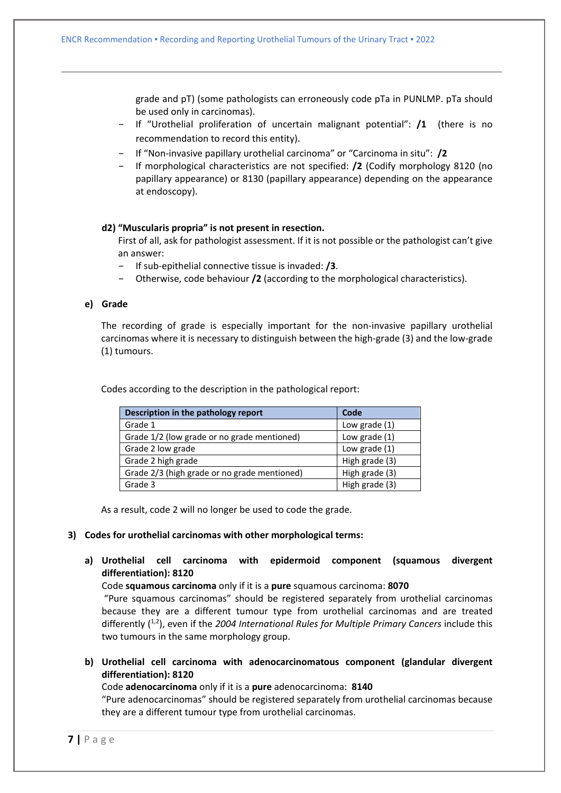grade and pT) (some pathologists can erroneously code pTa in PUNLMP. pTa should be used only in carcinomas).

- − If "Urothelial proliferation of uncertain malignant potential": **/1** (there is no recommendation to record this entity).
- − If "Non-invasive papillary urothelial carcinoma" or "Carcinoma in situ": **/2**
- − If morphological characteristics are not specified: **/2** (Codify morphology 8120 (no papillary appearance) or 8130 (papillary appearance) depending on the appearance at endoscopy).

### **d2) "Muscularis propria" is not present in resection.**

First of all, ask for pathologist assessment. If it is not possible or the pathologist can't give an answer:

- − If sub-epithelial connective tissue is invaded: **/3**.
- − Otherwise, code behaviour **/2** (according to the morphological characteristics).

### **e) Grade**

The recording of grade is especially important for the non-invasive papillary urothelial carcinomas where it is necessary to distinguish between the high-grade (3) and the low-grade (1) tumours.

Codes according to the description in the pathological report:

| Description in the pathology report          | Code           |
|----------------------------------------------|----------------|
| Grade 1                                      | Low grade (1)  |
| Grade 1/2 (low grade or no grade mentioned)  | Low grade (1)  |
| Grade 2 low grade                            | Low grade (1)  |
| Grade 2 high grade                           | High grade (3) |
| Grade 2/3 (high grade or no grade mentioned) | High grade (3) |
| Grade 3                                      | High grade (3) |

As a result, code 2 will no longer be used to code the grade.

### **3) Codes for urothelial carcinomas with other morphological terms:**

**a) Urothelial cell carcinoma with epidermoid component (squamous divergent differentiation): 8120**

Code **squamous carcinoma** only if it is a **pure** squamous carcinoma: **8070**

"Pure squamous carcinomas" should be registered separately from urothelial carcinomas because they are a different tumour type from urothelial carcinomas and are treated differently (<sup>1,2</sup>), even if the 2004 International Rules for Multiple Primary Cancers include this two tumours in the same morphology group.

**b) Urothelial cell carcinoma with adenocarcinomatous component (glandular divergent differentiation): 8120**

Code **adenocarcinoma** only if it is a **pure** adenocarcinoma: **8140**

"Pure adenocarcinomas" should be registered separately from urothelial carcinomas because they are a different tumour type from urothelial carcinomas.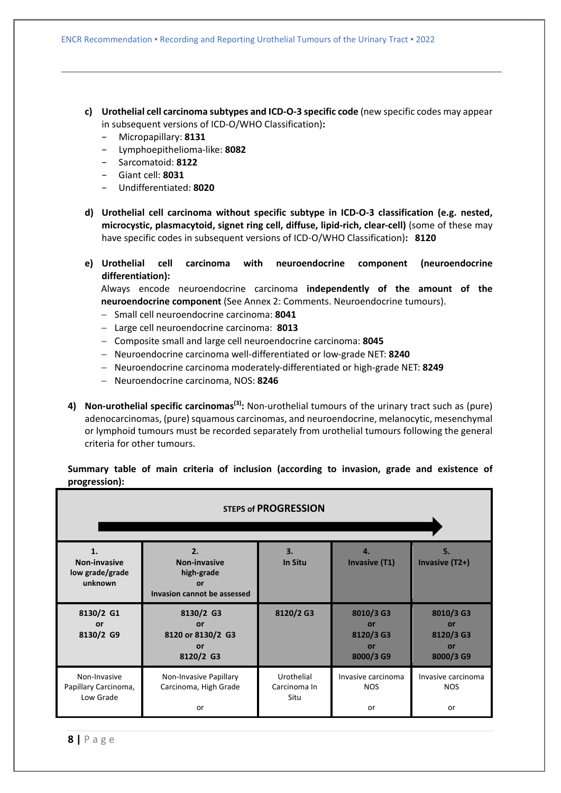- **c) Urothelial cell carcinoma subtypes and ICD-O-3 specific code** (new specific codes may appear in subsequent versions of ICD-O/WHO Classification)**:**
	- − Micropapillary: **8131**
	- − Lymphoepithelioma-like: **8082**
	- − Sarcomatoid: **8122**
	- − Giant cell: **8031**
	- − Undifferentiated: **8020**
- **d) Urothelial cell carcinoma without specific subtype in ICD-O-3 classification (e.g. nested, microcystic, plasmacytoid, signet ring cell, diffuse, lipid-rich, clear-cell)** (some of these may have specific codes in subsequent versions of ICD-O/WHO Classification)**: 8120**
- **e) Urothelial cell carcinoma with neuroendocrine component (neuroendocrine differentiation):**

Always encode neuroendocrine carcinoma **independently of the amount of the neuroendocrine component** (See Annex 2: Comments. Neuroendocrine tumours).

- − Small cell neuroendocrine carcinoma: **8041**
- − Large cell neuroendocrine carcinoma: **8013**
- − Composite small and large cell neuroendocrine carcinoma: **8045**
- − Neuroendocrine carcinoma well-differentiated or low-grade NET: **8240**
- − Neuroendocrine carcinoma moderately-differentiated or high-grade NET: **8249**
- − Neuroendocrine carcinoma, NOS: **8246**
- **4) Non-urothelial specific carcinomas(3):** Non-urothelial tumours of the urinary tract such as (pure) adenocarcinomas, (pure) squamous carcinomas, and neuroendocrine, melanocytic, mesenchymal or lymphoid tumours must be recorded separately from urothelial tumours following the general criteria for other tumours.

**Summary table of main criteria of inclusion (according to invasion, grade and existence of progression):**

| <b>STEPS of PROGRESSION</b>                       |                                                                              |                                    |                                                 |                                                 |
|---------------------------------------------------|------------------------------------------------------------------------------|------------------------------------|-------------------------------------------------|-------------------------------------------------|
|                                                   |                                                                              |                                    |                                                 |                                                 |
| 1.<br>Non-invasive<br>low grade/grade<br>unknown  | 2.<br><b>Non-invasive</b><br>high-grade<br>or<br>Invasion cannot be assessed | 3.<br>In Situ                      | 4.<br><b>Invasive (T1)</b>                      | 5.<br>Invasive (T2+)                            |
| 8130/2 G1<br>or<br>8130/2 G9                      | 8130/2 G3<br>or<br>8120 or 8130/2 G3<br>or<br>8120/2 G3                      | 8120/2 G3                          | 8010/3 G3<br>or<br>8120/3 G3<br>or<br>8000/3 G9 | 8010/3 G3<br>or<br>8120/3 G3<br>or<br>8000/3 G9 |
| Non-Invasive<br>Papillary Carcinoma,<br>Low Grade | Non-Invasive Papillary<br>Carcinoma, High Grade<br>or                        | Urothelial<br>Carcinoma In<br>Situ | Invasive carcinoma<br><b>NOS</b><br>or          | Invasive carcinoma<br><b>NOS</b><br>or          |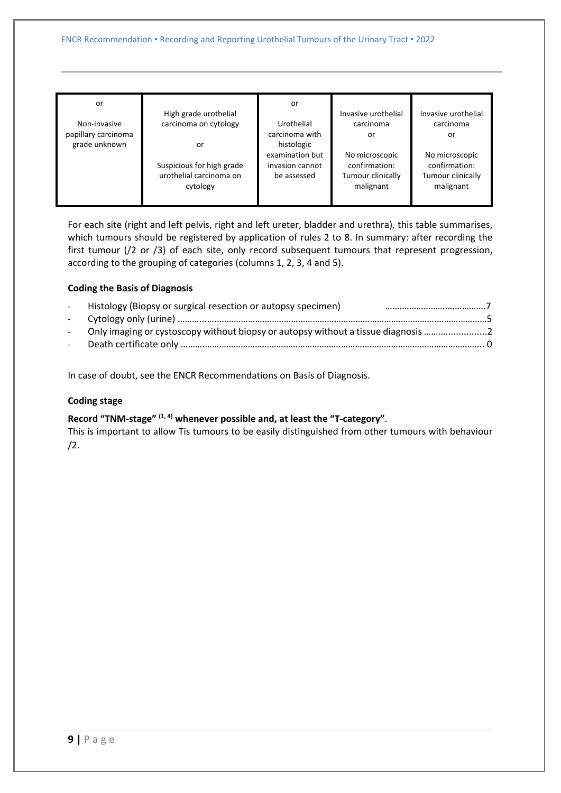|  | or<br>Non-invasive<br>papillary carcinoma<br>grade unknown | High grade urothelial<br>carcinoma on cytology<br>or<br>Suspicious for high grade<br>urothelial carcinoma on<br>cytology | or<br>Urothelial<br>carcinoma with<br>histologic<br>examination but<br>invasion cannot<br>be assessed | Invasive urothelial<br>carcinoma<br>or<br>No microscopic<br>confirmation:<br>Tumour clinically<br>malignant | Invasive urothelial<br>carcinoma<br>or<br>No microscopic<br>confirmation:<br>Tumour clinically<br>malignant |
|--|------------------------------------------------------------|--------------------------------------------------------------------------------------------------------------------------|-------------------------------------------------------------------------------------------------------|-------------------------------------------------------------------------------------------------------------|-------------------------------------------------------------------------------------------------------------|
|--|------------------------------------------------------------|--------------------------------------------------------------------------------------------------------------------------|-------------------------------------------------------------------------------------------------------|-------------------------------------------------------------------------------------------------------------|-------------------------------------------------------------------------------------------------------------|

For each site (right and left pelvis, right and left ureter, bladder and urethra), this table summarises, which tumours should be registered by application of rules 2 to 8. In summary: after recording the first tumour (/2 or /3) of each site, only record subsequent tumours that represent progression, according to the grouping of categories (columns 1, 2, 3, 4 and 5).

### **Coding the Basis of Diagnosis**

| $\sim$ 100 $\mu$ | Histology (Biopsy or surgical resection or autopsy specimen)                        |  |
|------------------|-------------------------------------------------------------------------------------|--|
|                  |                                                                                     |  |
|                  | - Only imaging or cystoscopy without biopsy or autopsy without a tissue diagnosis 2 |  |
|                  |                                                                                     |  |
|                  |                                                                                     |  |

In case of doubt, see the ENCR Recommendations on Basis of Diagnosis.

### **Coding stage**

### **Record "TNM-stage" (1, 4) whenever possible and, at least the "T-category"**.

This is important to allow Tis tumours to be easily distinguished from other tumours with behaviour /2.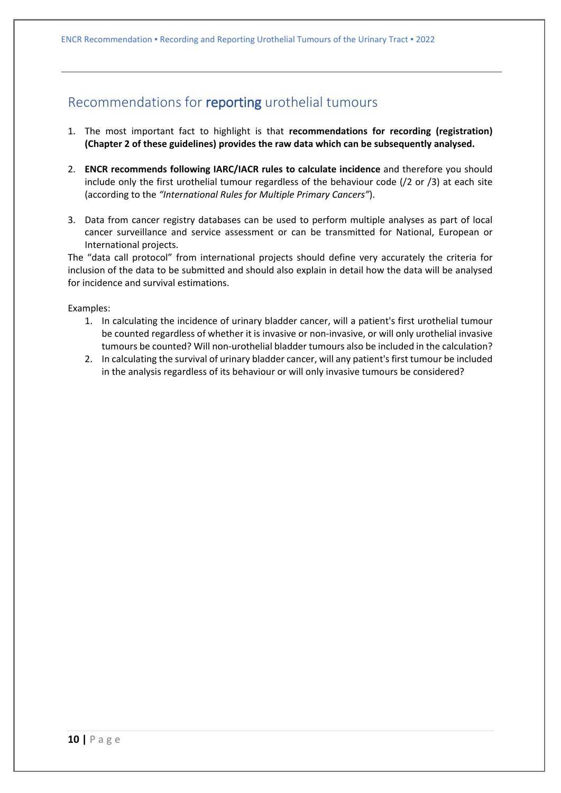### <span id="page-9-0"></span>Recommendations for reporting urothelial tumours

- 1. The most important fact to highlight is that **recommendations for recording (registration) (Chapter 2 of these guidelines) provides the raw data which can be subsequently analysed.**
- 2. **ENCR recommends following IARC/IACR rules to calculate incidence** and therefore you should include only the first urothelial tumour regardless of the behaviour code (/2 or /3) at each site (according to the *"International Rules for Multiple Primary Cancers"*).
- 3. Data from cancer registry databases can be used to perform multiple analyses as part of local cancer surveillance and service assessment or can be transmitted for National, European or International projects.

The "data call protocol" from international projects should define very accurately the criteria for inclusion of the data to be submitted and should also explain in detail how the data will be analysed for incidence and survival estimations.

Examples:

- 1. In calculating the incidence of urinary bladder cancer, will a patient's first urothelial tumour be counted regardless of whether it is invasive or non-invasive, or will only urothelial invasive tumours be counted? Will non-urothelial bladder tumours also be included in the calculation?
- 2. In calculating the survival of urinary bladder cancer, will any patient's first tumour be included in the analysis regardless of its behaviour or will only invasive tumours be considered?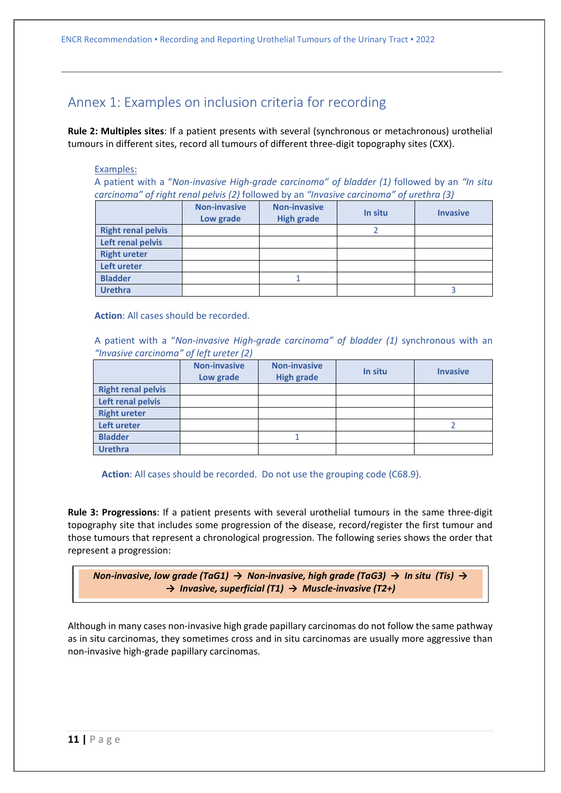### <span id="page-10-0"></span>Annex 1: Examples on inclusion criteria for recording

**Rule 2: Multiples sites**: If a patient presents with several (synchronous or metachronous) urothelial tumours in different sites, record all tumours of different three-digit topography sites (CXX).

### Examples:

A patient with a "*Non-invasive High-grade carcinoma" of bladder (1)* followed by an *"In situ carcinoma" of right renal pelvis (2)* followed by an *"Invasive carcinoma" of urethra (3)*

|                           | <b>Non-invasive</b><br>Low grade | <b>Non-invasive</b><br><b>High grade</b> | In situ | <b>Invasive</b> |
|---------------------------|----------------------------------|------------------------------------------|---------|-----------------|
| <b>Right renal pelvis</b> |                                  |                                          |         |                 |
| Left renal pelvis         |                                  |                                          |         |                 |
| <b>Right ureter</b>       |                                  |                                          |         |                 |
| Left ureter               |                                  |                                          |         |                 |
| <b>Bladder</b>            |                                  |                                          |         |                 |
| <b>Urethra</b>            |                                  |                                          |         |                 |

**Action**: All cases should be recorded.

A patient with a "*Non-invasive High-grade carcinoma" of bladder (1)* synchronous with an *"Invasive carcinoma" of left ureter (2)*

|                           | <b>Non-invasive</b><br>Low grade | <b>Non-invasive</b><br><b>High grade</b> | In situ | <b>Invasive</b> |
|---------------------------|----------------------------------|------------------------------------------|---------|-----------------|
| <b>Right renal pelvis</b> |                                  |                                          |         |                 |
| Left renal pelvis         |                                  |                                          |         |                 |
| <b>Right ureter</b>       |                                  |                                          |         |                 |
| Left ureter               |                                  |                                          |         |                 |
| <b>Bladder</b>            |                                  |                                          |         |                 |
| <b>Urethra</b>            |                                  |                                          |         |                 |

**Action**: All cases should be recorded. Do not use the grouping code (C68.9).

**Rule 3: Progressions**: If a patient presents with several urothelial tumours in the same three-digit topography site that includes some progression of the disease, record/register the first tumour and those tumours that represent a chronological progression. The following series shows the order that represent a progression:

*Non-invasive, low grade (TaG1) → Non-invasive, high grade (TaG3) → In situ (Tis) → → Invasive, superficial (T1) → Muscle-invasive (T2+)*

Although in many cases non-invasive high grade papillary carcinomas do not follow the same pathway as in situ carcinomas, they sometimes cross and in situ carcinomas are usually more aggressive than non-invasive high-grade papillary carcinomas.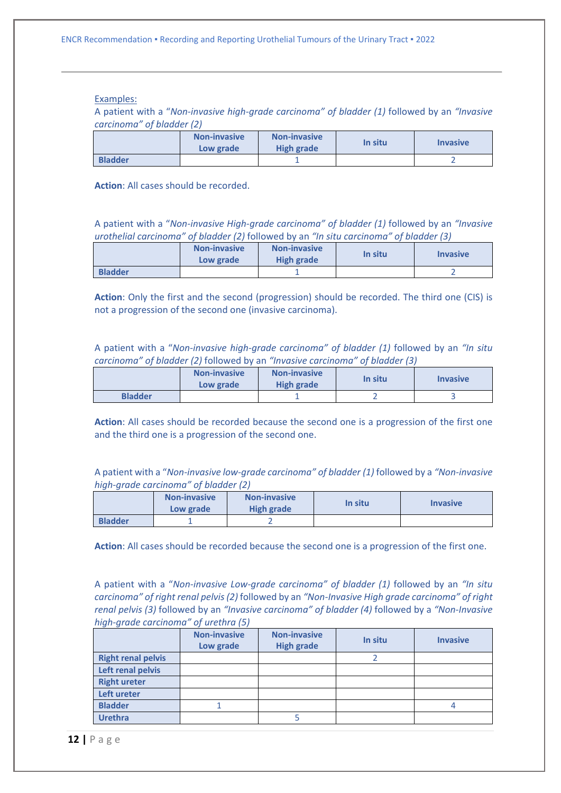#### Examples:

A patient with a "*Non-invasive high-grade carcinoma" of bladder (1)* followed by an *"Invasive carcinoma" of bladder (2)*

|                | Non-invasive<br>Low grade | <b>Non-invasive</b><br>High grade | In situ | <b>Invasive</b> |
|----------------|---------------------------|-----------------------------------|---------|-----------------|
| <b>Bladder</b> |                           |                                   |         |                 |

**Action**: All cases should be recorded.

A patient with a "*Non-invasive High-grade carcinoma" of bladder (1)* followed by an *"Invasive urothelial carcinoma" of bladder (2)* followed by an *"In situ carcinoma" of bladder (3)*

|                | <b>Non-invasive</b><br>Low grade | <b>Non-invasive</b><br><b>High grade</b> | In situ | <i><u><b>Invasive</b></u></i> |
|----------------|----------------------------------|------------------------------------------|---------|-------------------------------|
| <b>Bladder</b> |                                  |                                          |         |                               |

**Action**: Only the first and the second (progression) should be recorded. The third one (CIS) is not a progression of the second one (invasive carcinoma).

A patient with a "*Non-invasive high-grade carcinoma" of bladder (1)* followed by an *"In situ carcinoma" of bladder (2)* followed by an *"Invasive carcinoma" of bladder (3)*

|                | <b>Non-invasive</b><br>Low grade | <b>Non-invasive</b><br>High grade | In situ | <i><u><b>Invasive</b></u></i> |
|----------------|----------------------------------|-----------------------------------|---------|-------------------------------|
| <b>Bladder</b> |                                  |                                   |         |                               |

**Action**: All cases should be recorded because the second one is a progression of the first one and the third one is a progression of the second one.

A patient with a "*Non-invasive low-grade carcinoma" of bladder (1)* followed by a *"Non-invasive high-grade carcinoma" of bladder (2)*

|                | <b>Non-invasive</b><br>Low grade | <b>Non-invasive</b><br>High grade | In situ | <b>Invasive</b> |
|----------------|----------------------------------|-----------------------------------|---------|-----------------|
| <b>Bladder</b> |                                  |                                   |         |                 |

**Action**: All cases should be recorded because the second one is a progression of the first one.

A patient with a "*Non-invasive Low-grade carcinoma" of bladder (1)* followed by an *"In situ carcinoma" of right renal pelvis (2)* followed by an *"Non-Invasive High grade carcinoma" of right renal pelvis (3)* followed by an *"Invasive carcinoma" of bladder (4)* followed by a *"Non-Invasive high-grade carcinoma" of urethra (5)*

|                           | <b>Non-invasive</b><br>Low grade | <b>Non-invasive</b><br><b>High grade</b> | In situ | <b>Invasive</b> |
|---------------------------|----------------------------------|------------------------------------------|---------|-----------------|
| <b>Right renal pelvis</b> |                                  |                                          |         |                 |
| Left renal pelvis         |                                  |                                          |         |                 |
| <b>Right ureter</b>       |                                  |                                          |         |                 |
| Left ureter               |                                  |                                          |         |                 |
| <b>Bladder</b>            |                                  |                                          |         |                 |
| <b>Urethra</b>            |                                  |                                          |         |                 |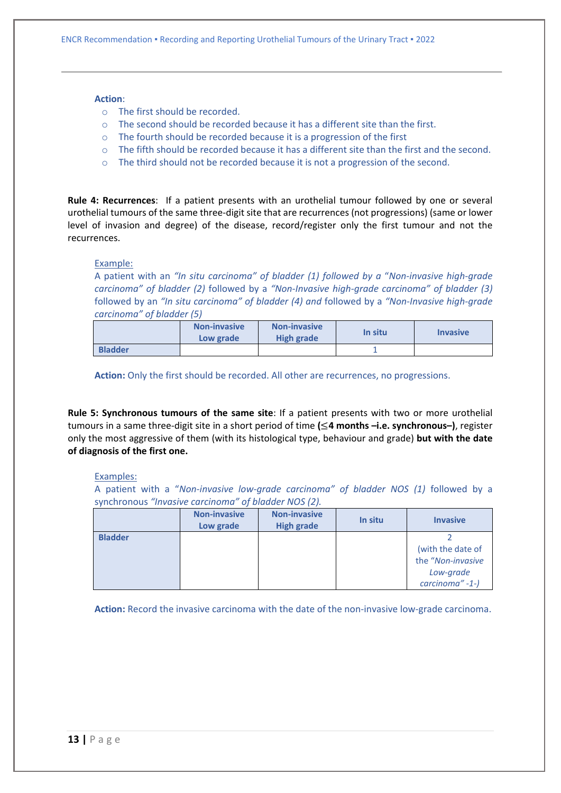### **Action**:

- o The first should be recorded.
- $\circ$  The second should be recorded because it has a different site than the first.
- $\circ$  The fourth should be recorded because it is a progression of the first
- o The fifth should be recorded because it has a different site than the first and the second.
- o The third should not be recorded because it is not a progression of the second.

**Rule 4: Recurrences**: If a patient presents with an urothelial tumour followed by one or several urothelial tumours of the same three-digit site that are recurrences (not progressions) (same or lower level of invasion and degree) of the disease, record/register only the first tumour and not the recurrences.

### Example:

A patient with an *"In situ carcinoma" of bladder (1) followed by a* "*Non-invasive high-grade carcinoma" of bladder (2)* followed by a *"Non-Invasive high-grade carcinoma" of bladder (3)*  followed by an *"In situ carcinoma" of bladder (4) and* followed by a *"Non-Invasive high-grade carcinoma" of bladder (5)*

|                | <b>Non-invasive</b><br>Low grade | <b>Non-invasive</b><br><b>High grade</b> | In situ | <b>Invasive</b> |
|----------------|----------------------------------|------------------------------------------|---------|-----------------|
| <b>Bladder</b> |                                  |                                          |         |                 |

**Action:** Only the first should be recorded. All other are recurrences, no progressions.

**Rule 5: Synchronous tumours of the same site**: If a patient presents with two or more urothelial tumours in a same three-digit site in a short period of time **(**≤**4 months –i.e. synchronous–)**, register only the most aggressive of them (with its histological type, behaviour and grade) **but with the date of diagnosis of the first one.**

### Examples:

A patient with a "*Non-invasive low-grade carcinoma" of bladder NOS (1)* followed by a synchronous *"Invasive carcinoma" of bladder NOS (2).*

|                | <b>Non-invasive</b><br>Low grade | <b>Non-invasive</b><br><b>High grade</b> | In situ | <b>Invasive</b>                                                        |
|----------------|----------------------------------|------------------------------------------|---------|------------------------------------------------------------------------|
| <b>Bladder</b> |                                  |                                          |         | (with the date of<br>the "Non-invasive<br>Low-grade<br>carcinoma" -1-) |

**Action:** Record the invasive carcinoma with the date of the non-invasive low-grade carcinoma.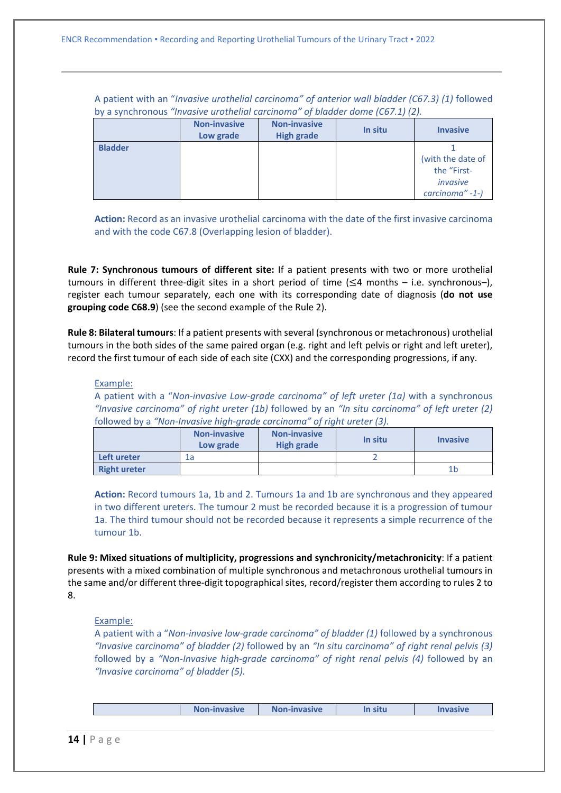A patient with an "*Invasive urothelial carcinoma" of anterior wall bladder (C67.3) (1)* followed by a synchronous *"Invasive urothelial carcinoma" of bladder dome (C67.1) (2).*

|                | <b>Non-invasive</b><br>Low grade | <b>Non-invasive</b><br><b>High grade</b> | In situ | <b>Invasive</b>                                                 |
|----------------|----------------------------------|------------------------------------------|---------|-----------------------------------------------------------------|
| <b>Bladder</b> |                                  |                                          |         | (with the date of<br>the "First-<br>invasive<br>carcinoma" -1-) |

**Action:** Record as an invasive urothelial carcinoma with the date of the first invasive carcinoma and with the code C67.8 (Overlapping lesion of bladder).

**Rule 7: Synchronous tumours of different site:** If a patient presents with two or more urothelial tumours in different three-digit sites in a short period of time  $(\leq 4$  months – i.e. synchronous–), register each tumour separately, each one with its corresponding date of diagnosis (**do not use grouping code C68.9**) (see the second example of the Rule 2).

**Rule 8: Bilateral tumours**: If a patient presents with several (synchronous or metachronous) urothelial tumours in the both sides of the same paired organ (e.g. right and left pelvis or right and left ureter), record the first tumour of each side of each site (CXX) and the corresponding progressions, if any.

#### Example:

A patient with a "*Non-invasive Low-grade carcinoma" of left ureter (1a)* with a synchronous *"Invasive carcinoma" of right ureter (1b)* followed by an *"In situ carcinoma" of left ureter (2)*  followed by a *"Non-Invasive high-grade carcinoma" of right ureter (3).*

|                     | <b>Non-invasive</b><br>Low grade | <b>Non-invasive</b><br>High grade | In situ | <b>Invasive</b> |
|---------------------|----------------------------------|-----------------------------------|---------|-----------------|
| Left ureter         | 1a                               |                                   |         |                 |
| <b>Right ureter</b> |                                  |                                   |         | 1b              |

**Action:** Record tumours 1a, 1b and 2. Tumours 1a and 1b are synchronous and they appeared in two different ureters. The tumour 2 must be recorded because it is a progression of tumour 1a. The third tumour should not be recorded because it represents a simple recurrence of the tumour 1b.

**Rule 9: Mixed situations of multiplicity, progressions and synchronicity/metachronicity**: If a patient presents with a mixed combination of multiple synchronous and metachronous urothelial tumours in the same and/or different three-digit topographical sites, record/register them according to rules 2 to 8.

#### Example:

A patient with a "*Non-invasive low-grade carcinoma" of bladder (1)* followed by a synchronous *"Invasive carcinoma" of bladder (2)* followed by an *"In situ carcinoma" of right renal pelvis (3)*  followed by a "Non-Invasive high-grade carcinoma" of right renal pelvis (4) followed by an *"Invasive carcinoma" of bladder (5).*

| <b>Non-invasive</b> | <b>Non-invasive</b> | In situ | <i><b>Invasive</b></i> |
|---------------------|---------------------|---------|------------------------|
|                     |                     |         |                        |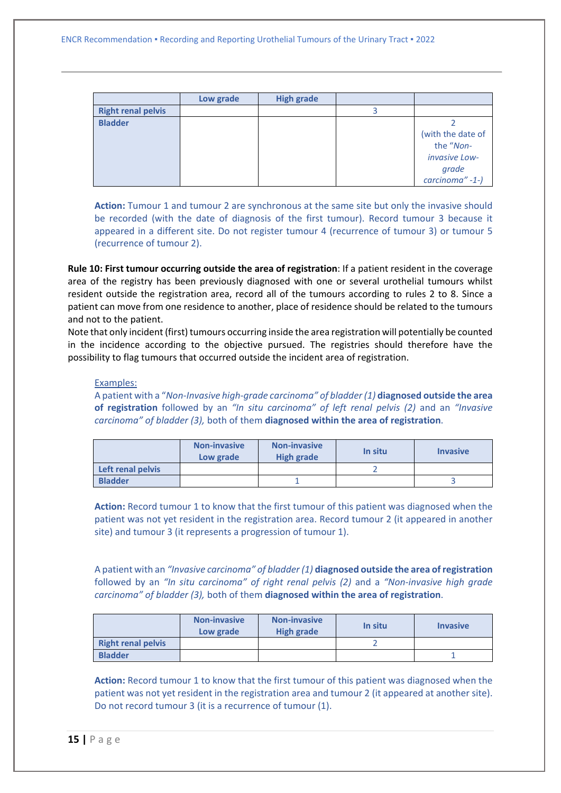|                           | Low grade | <b>High grade</b> |                   |
|---------------------------|-----------|-------------------|-------------------|
| <b>Right renal pelvis</b> |           |                   |                   |
| <b>Bladder</b>            |           |                   |                   |
|                           |           |                   | (with the date of |
|                           |           |                   | the "Non-         |
|                           |           |                   | invasive Low-     |
|                           |           |                   | grade             |
|                           |           |                   | carcinoma" -1-)   |

**Action:** Tumour 1 and tumour 2 are synchronous at the same site but only the invasive should be recorded (with the date of diagnosis of the first tumour). Record tumour 3 because it appeared in a different site. Do not register tumour 4 (recurrence of tumour 3) or tumour 5 (recurrence of tumour 2).

**Rule 10: First tumour occurring outside the area of registration**: If a patient resident in the coverage area of the registry has been previously diagnosed with one or several urothelial tumours whilst resident outside the registration area, record all of the tumours according to rules 2 to 8. Since a patient can move from one residence to another, place of residence should be related to the tumours and not to the patient.

Note that only incident (first) tumours occurring inside the area registration will potentially be counted in the incidence according to the objective pursued. The registries should therefore have the possibility to flag tumours that occurred outside the incident area of registration.

#### Examples:

A patient with a "*Non-Invasive high-grade carcinoma" of bladder (1)* **diagnosed outside the area of registration** followed by an *"In situ carcinoma" of left renal pelvis (2)* and an *"Invasive carcinoma" of bladder (3),* both of them **diagnosed within the area of registration**.

|                   | <b>Non-invasive</b><br>Low grade | <b>Non-invasive</b><br><b>High grade</b> | In situ | <b>Invasive</b> |
|-------------------|----------------------------------|------------------------------------------|---------|-----------------|
| Left renal pelvis |                                  |                                          |         |                 |
| <b>Bladder</b>    |                                  |                                          |         |                 |

**Action:** Record tumour 1 to know that the first tumour of this patient was diagnosed when the patient was not yet resident in the registration area. Record tumour 2 (it appeared in another site) and tumour 3 (it represents a progression of tumour 1).

A patient with an *"Invasive carcinoma" of bladder (1)* **diagnosed outside the area of registration** followed by an *"In situ carcinoma" of right renal pelvis (2)* and a *"Non-invasive high grade carcinoma" of bladder (3),* both of them **diagnosed within the area of registration**.

|                           | <b>Non-invasive</b><br>Low grade | <b>Non-invasive</b><br><b>High grade</b> | In situ | <b>Invasive</b> |
|---------------------------|----------------------------------|------------------------------------------|---------|-----------------|
| <b>Right renal pelvis</b> |                                  |                                          |         |                 |
| <b>Bladder</b>            |                                  |                                          |         |                 |

**Action:** Record tumour 1 to know that the first tumour of this patient was diagnosed when the patient was not yet resident in the registration area and tumour 2 (it appeared at another site). Do not record tumour 3 (it is a recurrence of tumour (1).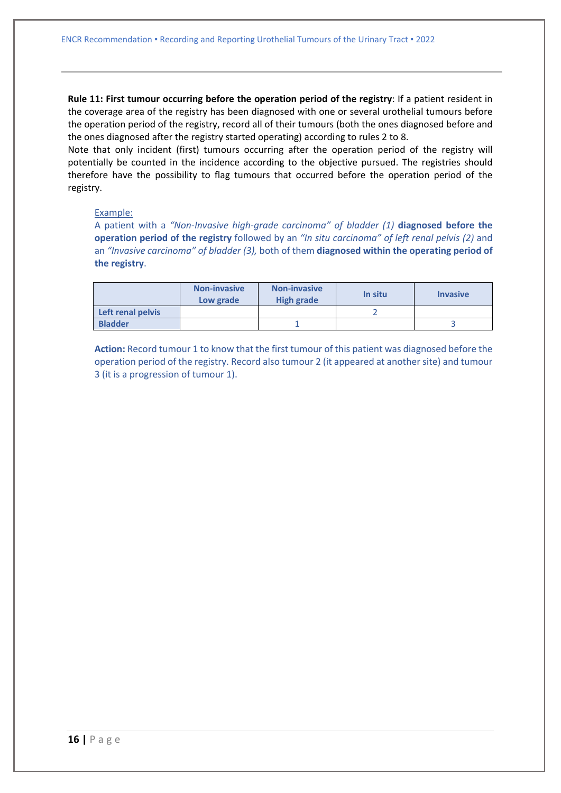**Rule 11: First tumour occurring before the operation period of the registry**: If a patient resident in the coverage area of the registry has been diagnosed with one or several urothelial tumours before the operation period of the registry, record all of their tumours (both the ones diagnosed before and the ones diagnosed after the registry started operating) according to rules 2 to 8.

Note that only incident (first) tumours occurring after the operation period of the registry will potentially be counted in the incidence according to the objective pursued. The registries should therefore have the possibility to flag tumours that occurred before the operation period of the registry.

### Example:

A patient with a *"Non-Invasive high-grade carcinoma" of bladder (1)* **diagnosed before the operation period of the registry** followed by an *"In situ carcinoma" of left renal pelvis (2)* and an *"Invasive carcinoma" of bladder (3),* both of them **diagnosed within the operating period of the registry**.

|                   | <b>Non-invasive</b><br>Low grade | <b>Non-invasive</b><br>High grade | In situ | <b>Invasive</b> |
|-------------------|----------------------------------|-----------------------------------|---------|-----------------|
| Left renal pelvis |                                  |                                   |         |                 |
| <b>Bladder</b>    |                                  |                                   |         |                 |

**Action:** Record tumour 1 to know that the first tumour of this patient was diagnosed before the operation period of the registry. Record also tumour 2 (it appeared at another site) and tumour 3 (it is a progression of tumour 1).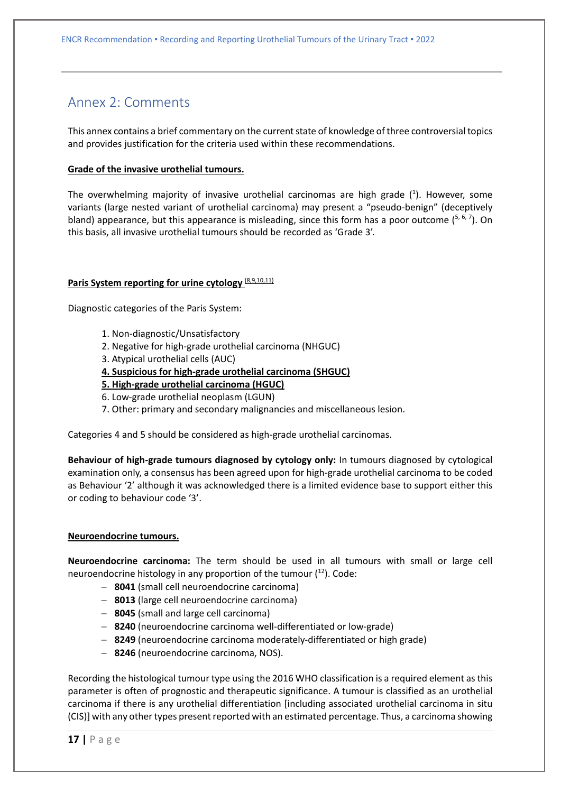### <span id="page-16-0"></span>Annex 2: Comments

This annex contains a brief commentary on the current state of knowledge of three controversial topics and provides justification for the criteria used within these recommendations.

### **Grade of the invasive urothelial tumours.**

The overwhelming majority of invasive urothelial carcinomas are high grade  $(1)$ . However, some variants (large nested variant of urothelial carcinoma) may present a "pseudo-benign" (deceptively bland) appearance, but this appearance is misleading, since this form has a poor outcome  $(5, 6, 7)$ . On this basis, all invasive urothelial tumours should be recorded as 'Grade 3'.

### **Paris System reporting for urine cytology** (8,9,10,11)

Diagnostic categories of the Paris System:

- 1. Non-diagnostic/Unsatisfactory
- 2. Negative for high-grade urothelial carcinoma (NHGUC)
- 3. Atypical urothelial cells (AUC)
- **4. Suspicious for high-grade urothelial carcinoma (SHGUC)**
- **5. High-grade urothelial carcinoma (HGUC)**
- 6. Low-grade urothelial neoplasm (LGUN)
- 7. Other: primary and secondary malignancies and miscellaneous lesion.

Categories 4 and 5 should be considered as high-grade urothelial carcinomas.

**Behaviour of high-grade tumours diagnosed by cytology only:** In tumours diagnosed by cytological examination only, a consensus has been agreed upon for high-grade urothelial carcinoma to be coded as Behaviour '2' although it was acknowledged there is a limited evidence base to support either this or coding to behaviour code '3'.

### **Neuroendocrine tumours.**

**Neuroendocrine carcinoma:** The term should be used in all tumours with small or large cell neuroendocrine histology in any proportion of the tumour  $(^{12})$ . Code:

- − **8041** (small cell neuroendocrine carcinoma)
- − **8013** (large cell neuroendocrine carcinoma)
- − **8045** (small and large cell carcinoma)
- − **8240** (neuroendocrine carcinoma well-differentiated or low-grade)
- − **8249** (neuroendocrine carcinoma moderately-differentiated or high grade)
- − **8246** (neuroendocrine carcinoma, NOS).

Recording the histological tumour type using the 2016 WHO classification is a required element as this parameter is often of prognostic and therapeutic significance. A tumour is classified as an urothelial carcinoma if there is any urothelial differentiation [including associated urothelial carcinoma in situ (CIS)] with any other types present reported with an estimated percentage. Thus, a carcinoma showing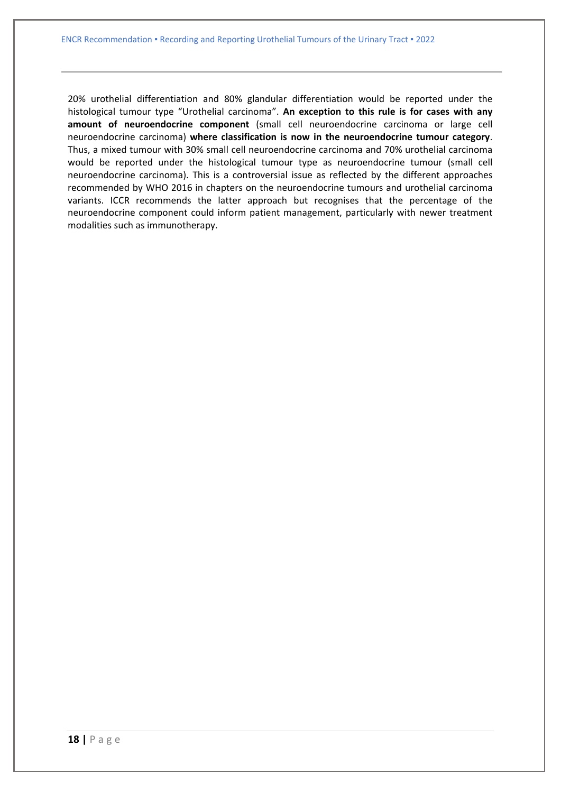20% urothelial differentiation and 80% glandular differentiation would be reported under the histological tumour type "Urothelial carcinoma". **An exception to this rule is for cases with any amount of neuroendocrine component** (small cell neuroendocrine carcinoma or large cell neuroendocrine carcinoma) **where classification is now in the neuroendocrine tumour category**. Thus, a mixed tumour with 30% small cell neuroendocrine carcinoma and 70% urothelial carcinoma would be reported under the histological tumour type as neuroendocrine tumour (small cell neuroendocrine carcinoma). This is a controversial issue as reflected by the different approaches recommended by WHO 2016 in chapters on the neuroendocrine tumours and urothelial carcinoma variants. ICCR recommends the latter approach but recognises that the percentage of the neuroendocrine component could inform patient management, particularly with newer treatment modalities such as immunotherapy.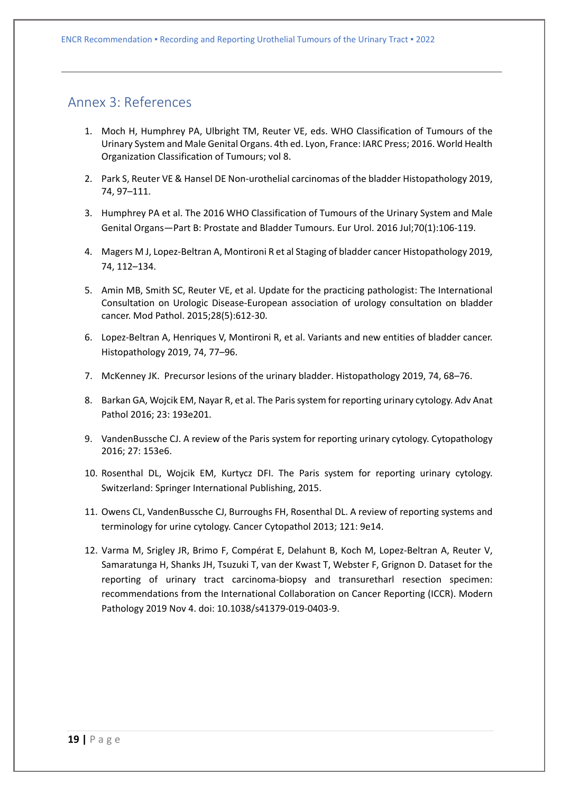### <span id="page-18-0"></span>Annex 3: References

- 1. Moch H, Humphrey PA, Ulbright TM, Reuter VE, eds. WHO Classification of Tumours of the Urinary System and Male Genital Organs. 4th ed. Lyon, France: IARC Press; 2016. World Health Organization Classification of Tumours; vol 8.
- 2. Park S, Reuter VE & Hansel DE Non-urothelial carcinomas of the bladder Histopathology 2019, 74, 97–111.
- 3. Humphrey PA et al. The 2016 WHO Classification of Tumours of the Urinary System and Male Genital Organs—Part B: Prostate and Bladder Tumours. Eur Urol. 2016 Jul;70(1):106-119.
- 4. Magers M J, Lopez-Beltran A, Montironi R et al Staging of bladder cancer Histopathology 2019, 74, 112–134.
- 5. Amin MB, Smith SC, Reuter VE, et al. Update for the practicing pathologist: The International Consultation on Urologic Disease-European association of urology consultation on bladder cancer. Mod Pathol. 2015;28(5):612-30.
- 6. Lopez-Beltran A, Henriques V, Montironi R, et al. Variants and new entities of bladder cancer. Histopathology 2019, 74, 77–96.
- 7. McKenney JK. Precursor lesions of the urinary bladder. Histopathology 2019, 74, 68–76.
- 8. Barkan GA, Wojcik EM, Nayar R, et al. The Paris system for reporting urinary cytology. Adv Anat Pathol 2016; 23: 193e201.
- 9. VandenBussche CJ. A review of the Paris system for reporting urinary cytology. Cytopathology 2016; 27: 153e6.
- 10. Rosenthal DL, Wojcik EM, Kurtycz DFI. The Paris system for reporting urinary cytology. Switzerland: Springer International Publishing, 2015.
- 11. Owens CL, VandenBussche CJ, Burroughs FH, Rosenthal DL. A review of reporting systems and terminology for urine cytology. Cancer Cytopathol 2013; 121: 9e14.
- 12. Varma M, Srigley JR, Brimo F, Compérat E, Delahunt B, Koch M, Lopez-Beltran A, Reuter V, Samaratunga H, Shanks JH, Tsuzuki T, van der Kwast T, Webster F, Grignon D. Dataset for the reporting of urinary tract carcinoma-biopsy and transuretharl resection specimen: recommendations from the International Collaboration on Cancer Reporting (ICCR). Modern Pathology 2019 Nov 4. doi: 10.1038/s41379-019-0403-9.